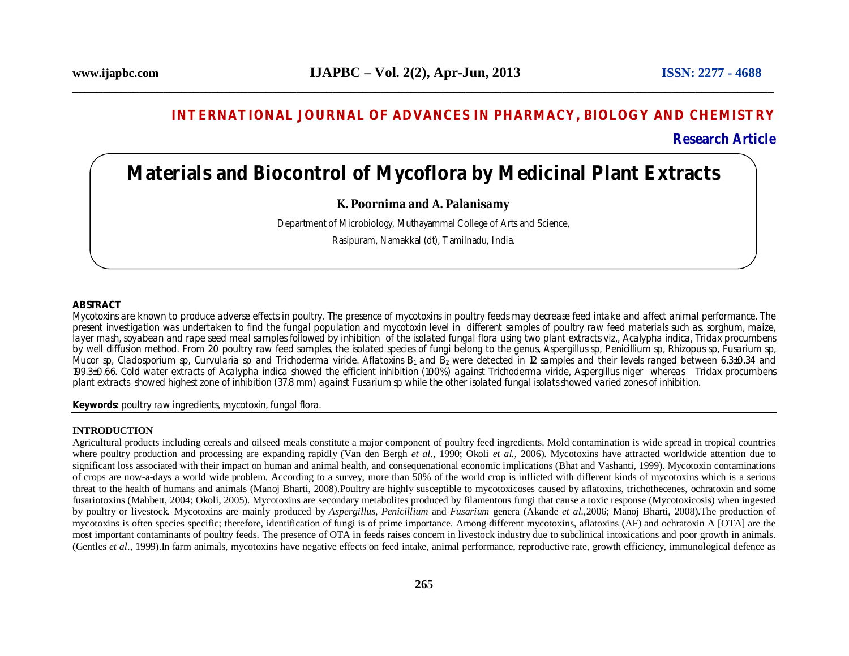# **INTERNATIONAL JOURNAL OF ADVANCES IN PHARMACY, BIOLOGY AND CHEMISTRY**

# **Research Article**

# **Materials and Biocontrol of Mycoflora by Medicinal Plant Extracts**

## **K. Poornima and A. Palanisamy**

Department of Microbiology, Muthayammal College of Arts and Science,

Rasipuram, Namakkal (dt), Tamilnadu, India.

#### **ABSTRACT**

Mycotoxins are known to produce adverse effects in poultry. The presence of mycotoxins in poultry feeds may decrease feed intake and affect animal performance. The present investigation was undertaken to find the fungal population and mycotoxin level in different samples of poultry raw feed materials such as, sorghum, maize, layer mash, soyabean and rape seed meal samples followed by inhibition of the isolated fungal flora using two plant extracts viz., *Acalypha indica, Tridax procumbens* by well diffusion method. From 20 poultry raw feed samples, the isolated species of fungi belong to the genus, *Aspergillus* sp*, Penicillium* sp*, Rhizopus* sp*, Fusarium* sp*, Mucor* sp, *Cladosporium* sp, *Curvularia* sp and *Trichoderma viride*. Aflatoxins B<sub>1</sub> and B<sub>2</sub> were detected in 12 samples and their levels ranged between 6.3±0.34 and 199.3±0.66. Cold water extracts of *Acalypha indica* showed the efficient inhibition (100%) against *Trichoderma viride*, *Aspergillus niger* whereas *Tridax procumbens* plant extracts showed highest zone of inhibition (37.8 mm) against *Fusarium sp* while the other isolated fungal isolats showed varied zones of inhibition.

#### **Keywords:** poultry raw ingredients, mycotoxin, fungal flora.

#### **INTRODUCTION**

Agricultural products including cereals and oilseed meals constitute a major component of poultry feed ingredients. Mold contamination is wide spread in tropical countries where poultry production and processing are expanding rapidly (Van den Bergh *et al*., 1990; Okoli *et al.,* 2006). Mycotoxins have attracted worldwide attention due to significant loss associated with their impact on human and animal health, and consequenational economic implications (Bhat and Vashanti, 1999). Mycotoxin contaminations of crops are now-a-days a world wide problem. According to a survey, more than 50% of the world crop is inflicted with different kinds of mycotoxins which is a serious threat to the health of humans and animals (Manoj Bharti, 2008).Poultry are highly susceptible to mycotoxicoses caused by aflatoxins, trichothecenes, ochratoxin and some fusariotoxins (Mabbett, 2004; Okoli, 2005). Mycotoxins are secondary metabolites produced by filamentous fungi that cause a toxic response (Mycotoxicosis) when ingested by poultry or livestock. Mycotoxins are mainly produced by *Aspergillus*, *Penicillium* and *Fusarium* genera (Akande *et al.,*2006; Manoj Bharti, 2008).The production of mycotoxins is often species specific; therefore, identification of fungi is of prime importance. Among different mycotoxins, aflatoxins (AF) and ochratoxin A [OTA] are the most important contaminants of poultry feeds. The presence of OTA in feeds raises concern in livestock industry due to subclinical intoxications and poor growth in animals. (Gentles *et al*., 1999).In farm animals, mycotoxins have negative effects on feed intake, animal performance, reproductive rate, growth efficiency, immunological defence as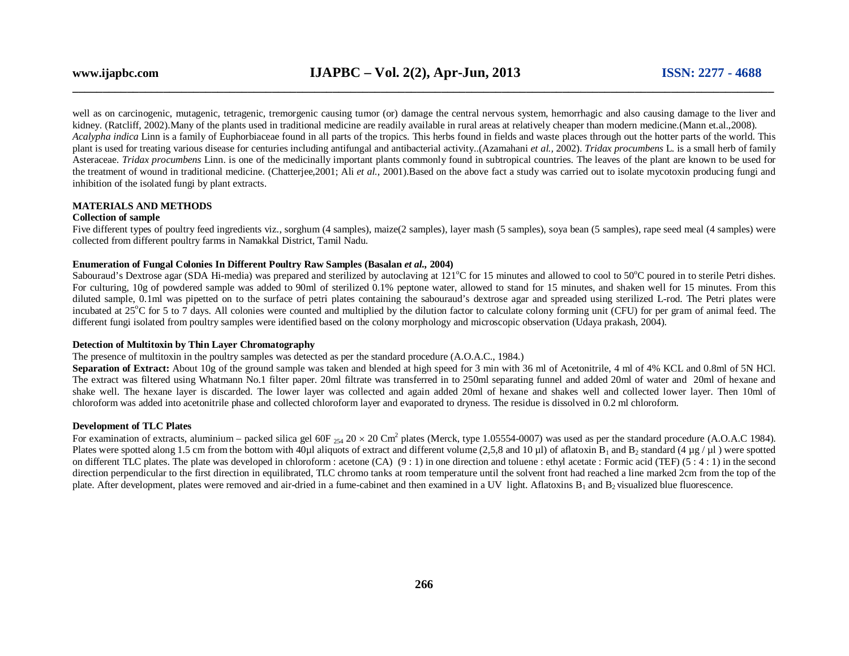well as on carcinogenic, mutagenic, tetragenic, tremorgenic causing tumor (or) damage the central nervous system, hemorrhagic and also causing damage to the liver and kidney. (Ratcliff, 2002).Many of the plants used in traditional medicine are readily available in rural areas at relatively cheaper than modern medicine.(Mann et.al.,2008). *Acalypha indica* Linn is a family of Euphorbiaceae found in all parts of the tropics. This herbs found in fields and waste places through out the hotter parts of the world. This plant is used for treating various disease for centuries including antifungal and antibacterial activity..(Azamahani *et al.,* 2002). *Tridax procumbens* L. is a small herb of family Asteraceae. *Tridax procumbens* Linn. is one of the medicinally important plants commonly found in subtropical countries. The leaves of the plant are known to be used for the treatment of wound in traditional medicine. (Chatterjee,2001; Ali *et al.,* 2001).Based on the above fact a study was carried out to isolate mycotoxin producing fungi and inhibition of the isolated fungi by plant extracts.

#### **MATERIALS AND METHODS**

#### **Collection of sample**

Five different types of poultry feed ingredients viz., sorghum (4 samples), maize(2 samples), layer mash (5 samples), soya bean (5 samples), rape seed meal (4 samples) were collected from different poultry farms in Namakkal District, Tamil Nadu.

#### **Enumeration of Fungal Colonies In Different Poultry Raw Samples (Basalan** *et al.,* **2004)**

Sabouraud's Dextrose agar (SDA Hi-media) was prepared and sterilized by autoclaving at  $121^{\circ}$ C for 15 minutes and allowed to cool to 50 $^{\circ}$ C poured in to sterile Petri dishes. For culturing, 10g of powdered sample was added to 90ml of sterilized 0.1% peptone water, allowed to stand for 15 minutes, and shaken well for 15 minutes. From this diluted sample, 0.1ml was pipetted on to the surface of petri plates containing the sabouraud's dextrose agar and spreaded using sterilized L-rod. The Petri plates were incubated at 25<sup>o</sup>C for 5 to 7 days. All colonies were counted and multiplied by the dilution factor to calculate colony forming unit (CFU) for per gram of animal feed. The different fungi isolated from poultry samples were identified based on the colony morphology and microscopic observation (Udaya prakash, 2004).

#### **Detection of Multitoxin by Thin Layer Chromatography**

#### The presence of multitoxin in the poultry samples was detected as per the standard procedure (A.O.A.C., 1984.)

Separation of Extract: About 10g of the ground sample was taken and blended at high speed for 3 min with 36 ml of Acetonitrile, 4 ml of 4% KCL and 0.8ml of 5N HCl. The extract was filtered using Whatmann No.1 filter paper. 20ml filtrate was transferred in to 250ml separating funnel and added 20ml of water and 20ml of hexane and shake well. The hexane layer is discarded. The lower layer was collected and again added 20ml of hexane and shakes well and collected lower layer. Then 10ml of chloroform was added into acetonitrile phase and collected chloroform layer and evaporated to dryness. The residue is dissolved in 0.2 ml chloroform.

#### **Development of TLC Plates**

For examination of extracts, aluminium – packed silica gel 60F  $_{254}$  20  $\times$  20 Cm<sup>2</sup> plates (Merck, type 1.05554-0007) was used as per the standard procedure (A.O.A.C 1984). Plates were spotted along 1.5 cm from the bottom with 40µl aliquots of extract and different volume (2,5,8 and 10 µl) of aflatoxin B<sub>1</sub> and B<sub>2</sub> standard (4 µg / µl) were spotted on different TLC plates. The plate was developed in chloroform : acetone  $(CA)$  (9 : 1) in one direction and toluene : ethyl acetate : Formic acid (TEF) (5 : 4 : 1) in the second direction perpendicular to the first direction in equilibrated, TLC chromo tanks at room temperature until the solvent front had reached a line marked 2cm from the top of the plate. After development, plates were removed and air-dried in a fume-cabinet and then examined in a UV light. Aflatoxins  $B_1$  and  $B_2$  visualized blue fluorescence.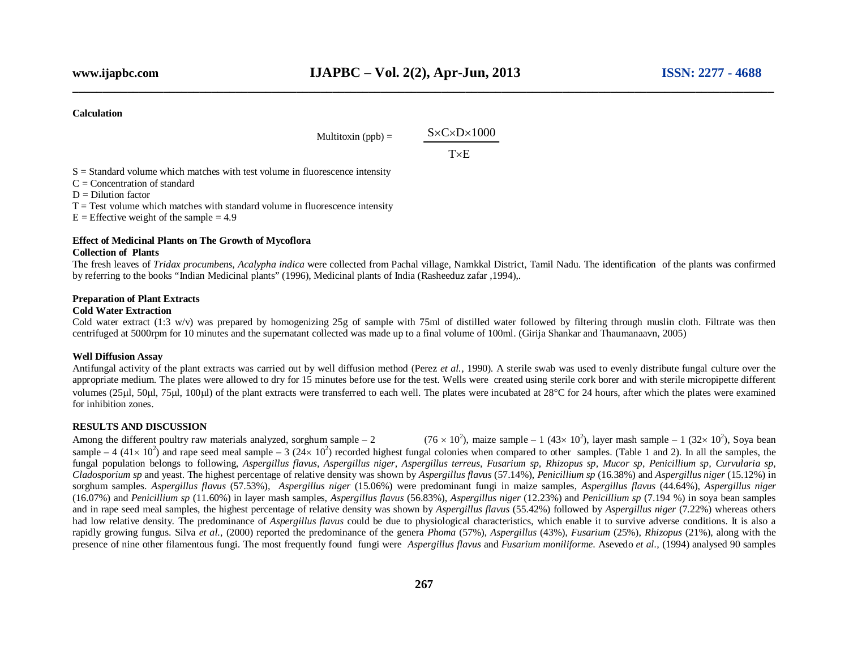#### **Calculation**

Multitoxin (ppb)  $=$ 

 $S \times C \times D \times 1000$  $T \times E$ 

 $S =$  Standard volume which matches with test volume in fluorescence intensity

- $C =$ Concentration of standard
- $D = Dilution factor$

 $T = Test$  volume which matches with standard volume in fluorescence intensity

 $E =$  Effective weight of the sample = 4.9

#### **Effect of Medicinal Plants on The Growth of Mycoflora Collection of Plants**

The fresh leaves of *Tridax procumbens*, *Acalypha indica* were collected from Pachal village, Namkkal District, Tamil Nadu. The identification of the plants was confirmed by referring to the books "Indian Medicinal plants" (1996), Medicinal plants of India (Rasheeduz zafar ,1994),.

### **Preparation of Plant Extracts**

#### **Cold Water Extraction**

Cold water extract (1:3 w/v) was prepared by homogenizing  $25g$  of sample with 75ml of distilled water followed by filtering through muslin cloth. Filtrate was then centrifuged at 5000rpm for 10 minutes and the supernatant collected was made up to a final volume of 100ml. (Girija Shankar and Thaumanaavn, 2005)

#### **Well Diffusion Assay**

Antifungal activity of the plant extracts was carried out by well diffusion method (Perez *et al.,* 1990). A sterile swab was used to evenly distribute fungal culture over the appropriate medium. The plates were allowed to dry for 15 minutes before use for the test. Wells were created using sterile cork borer and with sterile micropipette different volumes (25µl, 50µl, 75µl, 100µl) of the plant extracts were transferred to each well. The plates were incubated at 28°C for 24 hours, after which the plates were examined for inhibition zones.

#### **RESULTS AND DISCUSSION**

Among the different poultry raw materials analyzed, sorghum sample  $-2$ ), maize sample – 1 (43 $\times$  10<sup>2</sup>), layer mash sample – 1 (32 $\times$  10<sup>2</sup>), Soya bean sample – 4 (41 × 10<sup>2</sup>) and rape seed meal sample – 3 (24 × 10<sup>2</sup>) recorded highest fungal colonies when compared to other samples. (Table 1 and 2). In all the samples, the fungal population belongs to following, *Aspergillus flavus, Aspergillus niger, Aspergillus terreus, Fusarium sp, Rhizopus sp, Mucor sp, Penicillium sp, Curvularia sp, Cladosporium sp* and yeast. The highest percentage of relative density was shown by *Aspergillus flavus* (57.14%), *Penicillium sp* (16.38%) and *Aspergillus niger* (15.12%) in sorghum samples. *Aspergillus flavus* (57.53%), *Aspergillus niger* (15.06%) were predominant fungi in maize samples, *Aspergillus flavus* (44.64%), *Aspergillus niger* (16.07%) and *Penicillium sp* (11.60%) in layer mash samples, *Aspergillus flavus* (56.83%), *Aspergillus niger* (12.23%) and *Penicillium sp* (7.194 %) in soya bean samples and in rape seed meal samples, the highest percentage of relative density was shown by *Aspergillus flavus* (55.42%) followed by *Aspergillus niger* (7.22%) whereas others had low relative density. The predominance of *Aspergillus flavus* could be due to physiological characteristics, which enable it to survive adverse conditions. It is also a rapidly growing fungus. Silva *et al.,* (2000) reported the predominance of the genera *Phoma* (57%), *Aspergillus* (43%), *Fusarium* (25%), *Rhizopus* (21%), along with the presence of nine other filamentous fungi. The most frequently found fungi were *Aspergillus flavus* and *Fusarium moniliforme*. Asevedo *et al.,* (1994) analysed 90 samples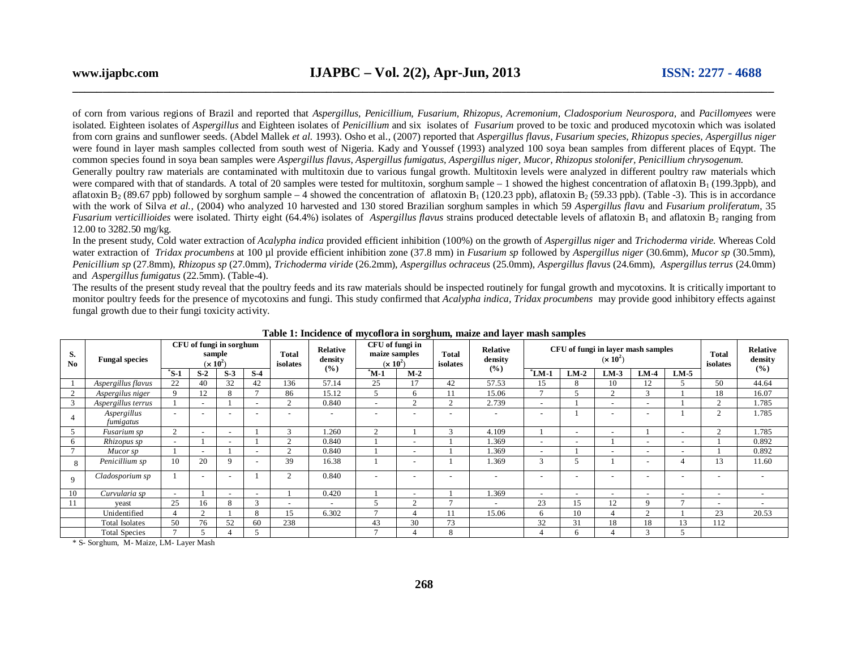of corn from various regions of Brazil and reported that *Aspergillus, Penicillium, Fusarium, Rhizopus, Acremonium, Cladosporium Neurospora,* and *Pacillomyees* were isolated. Eighteen isolates of *Aspergillus* and Eighteen isolates of *Penicillium* and six isolates of *Fusarium* proved to be toxic and produced mycotoxin which was isolated from corn grains and sunflower seeds. (Abdel Mallek *et al.* 1993). Osho et al., (2007) reported that *Aspergillus flavus, Fusarium species, Rhizopus species, Aspergillus niger*  were found in layer mash samples collected from south west of Nigeria. Kady and Youssef (1993) analyzed 100 soya bean samples from different places of Eqypt. The common species found in soya bean samples were *Aspergillus flavus, Aspergillus fumigatus, Aspergillus niger, Mucor, Rhizopus stolonifer, Penicillium chrysogenum.* Generally poultry raw materials are contaminated with multitoxin due to various fungal growth. Multitoxin levels were analyzed in different poultry raw materials which were compared with that of standards. A total of 20 samples were tested for multitoxin, sorghum sample  $-1$  showed the highest concentration of aflatoxin  $B_1$  (199.3ppb), and aflatoxin B<sub>2</sub> (89.67 ppb) followed by sorghum sample – 4 showed the concentration of aflatoxin B<sub>1</sub> (120.23 ppb), aflatoxin B<sub>2</sub> (59.33 ppb). (Table -3). This is in accordance with the work of Silva *et al.,* (2004) who analyzed 10 harvested and 130 stored Brazilian sorghum samples in which 59 *Aspergillus flavu* and *Fusarium proliferatum*, 35 *Fusarium verticillioides* were isolated. Thirty eight (64.4%) isolates of *Aspergillus flavus* strains produced detectable levels of aflatoxin  $B_1$  and aflatoxin  $B_2$  ranging from 12.00 to 3282.50 mg/kg.

In the present study, Cold water extraction of *Acalypha indica* provided efficient inhibition (100%) on the growth of *Aspergillus niger* and *Trichoderma viride.* Whereas Cold water extraction of *Tridax procumbens* at 100 µl provide efficient inhibition zone (37.8 mm) in *Fusarium sp* followed by *Aspergillus niger* (30.6mm), *Mucor sp* (30.5mm), *Penicillium sp* (27.8mm), *Rhizopus sp* (27.0mm), *Trichoderma viride* (26.2mm), *Aspergillus ochraceus* (25.0mm), *Aspergillus flavus* (24.6mm), *Aspergillus terrus* (24.0mm) and *Aspergillus fumigatus* (22.5mm). (Table-4).

The results of the present study reveal that the poultry feeds and its raw materials should be inspected routinely for fungal growth and mycotoxins. It is critically important to monitor poultry feeds for the presence of mycotoxins and fungi. This study confirmed that *Acalypha indica, Tridax procumbens* may provide good inhibitory effects against fungal growth due to their fungi toxicity activity.

| $\epsilon$<br>S.<br>N <sub>0</sub> | <b>Fungal species</b>           | CFU of fungi in sorghum<br>sample<br>$(x 10^2)$ |       |                          | Relative<br>Total<br>density<br>isolates | (%)            | CFU of fungi in<br>maize samples<br><b>Total</b><br>$(x 10^2)$<br>isolates |                          | CFU of fungi in layer mash samples<br>Relative<br>$(x 10^2)$<br>density<br>$($ %) |                          |                          |                          | <b>Total</b><br>isolates | <b>Relative</b><br>density<br>(%) |                          |                          |                          |                          |
|------------------------------------|---------------------------------|-------------------------------------------------|-------|--------------------------|------------------------------------------|----------------|----------------------------------------------------------------------------|--------------------------|-----------------------------------------------------------------------------------|--------------------------|--------------------------|--------------------------|--------------------------|-----------------------------------|--------------------------|--------------------------|--------------------------|--------------------------|
|                                    |                                 | "S-1                                            | $S-2$ | $S-3$                    | $S-4$                                    |                |                                                                            | "M-1                     | $M-2$                                                                             |                          |                          | 'LM-1<br>$LM-2$          |                          | $LM-3$                            | $LM-4$                   | $LM-5$                   |                          |                          |
|                                    | Aspergillus flavus              | 22                                              | 40    | 32                       | 42                                       | 136            | 57.14                                                                      | 25                       | 17                                                                                | 42                       | 57.53                    | 15                       |                          | 10                                | 12                       | 5.                       | 50                       | 44.64                    |
| $\gamma$                           | Aspergilus niger                | $\Omega$                                        | 12    | 8                        | $\overline{ }$                           | 86             | 15.12                                                                      | 5                        | 6                                                                                 | 11                       | 15.06                    |                          |                          | $\sim$                            | 3                        |                          | 18                       | 16.07                    |
| 3                                  | Aspergillus terrus              |                                                 |       |                          | $\overline{\phantom{0}}$                 | $\Omega$       | 0.840                                                                      | $\overline{\phantom{a}}$ | $\sim$                                                                            | 2                        | 2.739                    | $\sim$                   |                          |                                   | $\overline{\phantom{a}}$ |                          | ◠                        | 1.785                    |
|                                    | Aspergillus<br><i>fumigatus</i> |                                                 |       | $\overline{\phantom{a}}$ | $\overline{\phantom{0}}$                 |                | ۰                                                                          | $\overline{\phantom{a}}$ | $\overline{\phantom{0}}$                                                          | $\overline{\phantom{0}}$ |                          | -                        |                          |                                   | $\overline{\phantom{a}}$ |                          | $\overline{c}$           | 1.785                    |
|                                    | Fusarium sp                     | $\overline{2}$                                  |       | $\overline{\phantom{a}}$ |                                          | $\mathbf{z}$   | 1.260                                                                      | $\overline{2}$           |                                                                                   | $\mathbf{3}$             | 4.109                    |                          | $\overline{\phantom{a}}$ |                                   |                          | $\overline{\phantom{0}}$ | $\overline{c}$           | 1.785                    |
|                                    | Rhizopus sp                     |                                                 |       |                          |                                          | $\sim$         | 0.840                                                                      |                          | ٠                                                                                 |                          | 1.369                    | $\sim$                   |                          |                                   | $\overline{\phantom{a}}$ |                          |                          | 0.892                    |
|                                    | Mucor sp                        |                                                 |       |                          | $\overline{\phantom{0}}$                 | $\Omega$       | 0.840                                                                      |                          | $\sim$                                                                            |                          | 1.369                    | $\sim$                   |                          |                                   | $\overline{\phantom{a}}$ |                          |                          | 0.892                    |
| 8                                  | Penicillium sp                  | 10                                              | 20    | $\mathbf Q$              | $\overline{\phantom{0}}$                 | 39             | 16.38                                                                      |                          | $\overline{\phantom{a}}$                                                          |                          | 1.369                    | 3                        |                          |                                   | $\overline{\phantom{a}}$ | 4                        | 13                       | 11.60                    |
| $\mathbf Q$                        | Cladosporium sp                 |                                                 |       | -                        |                                          | $\overline{c}$ | 0.840                                                                      | $\overline{\phantom{a}}$ | -                                                                                 |                          |                          |                          |                          |                                   |                          |                          |                          |                          |
| 10                                 | Curvularia sp                   |                                                 |       | $\overline{\phantom{a}}$ | $\sim$                                   |                | 0.420                                                                      |                          | $\overline{\phantom{a}}$                                                          |                          | 1.369                    | $\overline{\phantom{a}}$ |                          |                                   | $\overline{\phantom{a}}$ |                          | $\overline{\phantom{a}}$ | $\overline{\phantom{a}}$ |
|                                    | yeast                           | 25                                              | 16    | $\mathbf{8}$             | 3                                        |                | $\overline{\phantom{0}}$                                                   |                          | $\overline{2}$                                                                    | $\overline{ }$           | $\overline{\phantom{a}}$ | 23                       | 15                       | 12                                | $\mathbf Q$              | $\overline{ }$           | $\sim$                   | $\overline{\phantom{a}}$ |
|                                    | Unidentified                    |                                                 |       |                          | 8                                        | 15             | 6.302                                                                      | $\overline{a}$           |                                                                                   | 11                       | 15.06                    | 6                        | 10                       |                                   | 2                        |                          | 23                       | 20.53                    |
|                                    | <b>Total Isolates</b>           | 50                                              | 76    | 52                       | 60                                       | 238            |                                                                            | 43                       | 30                                                                                | 73                       |                          | 32                       | 31                       | 18                                | 18                       | 13                       | 112                      |                          |
|                                    | <b>Total Species</b>            |                                                 |       |                          | 5                                        |                |                                                                            |                          |                                                                                   | 8                        |                          |                          | h.                       |                                   | 3                        |                          |                          |                          |

#### **Table 1: Incidence of mycoflora in sorghum, maize and layer mash samples**

\* S- Sorghum, M- Maize, LM- Layer Mash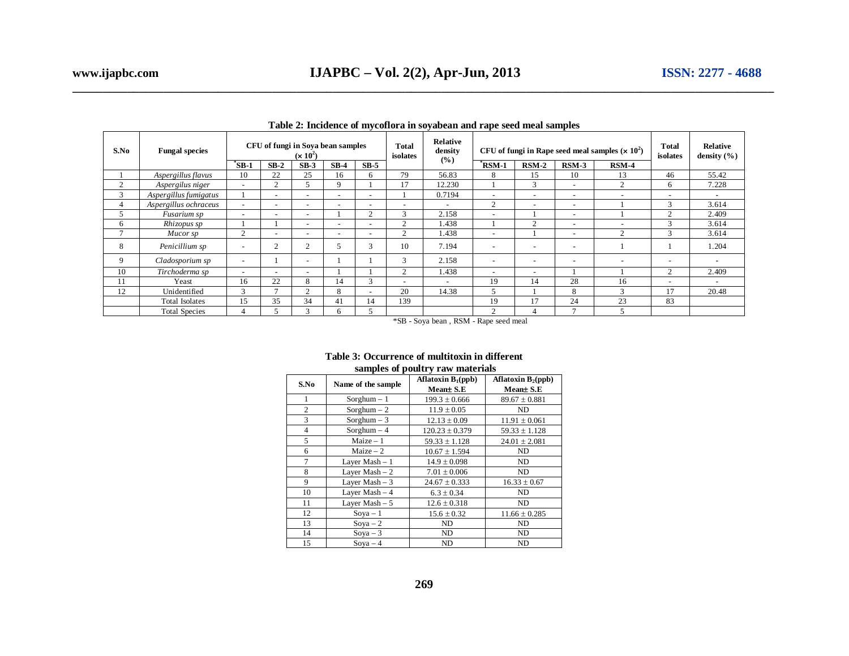| S.No         | <b>Fungal species</b> | CFU of fungi in Soya bean samples<br>$(x 10^2)$ |                          |                          |                          |                          | Total<br>isolates        | Relative<br>density<br>(%) | CFU of fungi in Rape seed meal samples $(x 102)$ |                          |                          |                          | <b>Total</b><br>isolates | Relative<br>density $(\% )$ |
|--------------|-----------------------|-------------------------------------------------|--------------------------|--------------------------|--------------------------|--------------------------|--------------------------|----------------------------|--------------------------------------------------|--------------------------|--------------------------|--------------------------|--------------------------|-----------------------------|
|              |                       | *SB-1                                           | $SB-2$                   | $SB-3$                   | $SB-4$                   | $SB-5$                   |                          |                            | "RSM-1                                           | $RSM-2$                  | $RSM-3$                  | $RSM-4$                  |                          |                             |
|              | Aspergillus flavus    | 10                                              | 22                       | 25                       | 16                       | 6                        | 79                       | 56.83                      | 8                                                | 15                       | 10                       | 13                       | 46                       | 55.42                       |
| ◠            | Aspergilus niger      | $\sim$                                          | $\overline{c}$           |                          | 9                        |                          | 17                       | 12.230                     |                                                  | 3                        | $\sim$                   | $\overline{c}$           | 6                        | 7.228                       |
| 3            | Aspergillus fumigatus |                                                 | -                        | $\overline{\phantom{a}}$ | $\overline{\phantom{0}}$ | $\overline{\phantom{a}}$ |                          | 0.7194                     | ٠                                                | $\overline{\phantom{a}}$ | $\overline{\phantom{0}}$ | $\overline{\phantom{0}}$ | $\overline{\phantom{0}}$ |                             |
| 4            | Aspergillus ochraceus | $\sim$                                          | $\overline{\phantom{a}}$ | $\overline{\phantom{a}}$ | $\overline{\phantom{0}}$ | $\overline{\phantom{a}}$ | $\overline{\phantom{a}}$ | $\overline{\phantom{a}}$   | $\overline{2}$                                   | $\overline{\phantom{a}}$ | $\overline{\phantom{0}}$ |                          | 3                        | 3.614                       |
| 5            | Fusarium sp           | $\sim$                                          | ۰.                       | $\overline{\phantom{a}}$ |                          | $\sim$                   | 3                        | 2.158                      | ٠                                                |                          | $\overline{\phantom{0}}$ |                          | 2                        | 2.409                       |
| 6            | Rhizopus sp           |                                                 |                          | $\overline{\phantom{a}}$ | $\overline{\phantom{a}}$ | $\sim$                   | ◠                        | 1.438                      |                                                  | $\overline{2}$           | $\sim$                   | $\overline{\phantom{a}}$ | 3                        | 3.614                       |
| $\mathbf{r}$ | Mucor sp              | $\overline{2}$                                  | ۰.                       | $\overline{\phantom{a}}$ | $\overline{\phantom{a}}$ | $\sim$                   | $\mathcal{D}$            | 1.438                      | $\overline{\phantom{a}}$                         |                          | $\overline{\phantom{a}}$ | $\overline{c}$           | 3                        | 3.614                       |
| 8            | Penicillium sp        |                                                 | $\Omega$<br>∠            | $\overline{c}$           | 5                        | $\sim$<br>5              | 10                       | 7.194                      | $\overline{\phantom{a}}$                         |                          |                          |                          |                          | 1.204                       |
| 9            | Cladosporium sp       | $\overline{\phantom{a}}$                        |                          | $\overline{\phantom{a}}$ |                          |                          | 3                        | 2.158                      | $\overline{\phantom{a}}$                         | $\overline{\phantom{a}}$ | $\overline{\phantom{a}}$ | $\overline{\phantom{a}}$ | $\overline{\phantom{a}}$ | $\overline{\phantom{a}}$    |
| 10           | Tirchoderma sp        | $\sim$                                          | ۰.                       | $\overline{\phantom{a}}$ |                          |                          | 2                        | 1.438                      | $\overline{\phantom{a}}$                         | $\overline{\phantom{a}}$ |                          |                          | 2                        | 2.409                       |
| 11           | Yeast                 | 16                                              | 22                       | 8                        | 14                       | 3                        | $\overline{\phantom{0}}$ | $\overline{\phantom{a}}$   | 19                                               | 14                       | 28                       | 16                       | $\overline{\phantom{0}}$ | $\overline{\phantom{a}}$    |
| 12           | Unidentified          | 3                                               | $\overline{ }$           | 2                        | 8                        | $\overline{\phantom{a}}$ | 20                       | 14.38                      | 5                                                |                          | 8                        | 3                        | 17                       | 20.48                       |
|              | <b>Total Isolates</b> | 15                                              | 35                       | 34                       | 41                       | 14                       | 139                      |                            | 19                                               | 17                       | 24                       | 23                       | 83                       |                             |
|              | <b>Total Species</b>  | 4                                               |                          | $\mathcal{R}$            | 6                        |                          |                          |                            | 2                                                | 4                        |                          | 5                        |                          |                             |

### **Table 2: Incidence of mycoflora in soyabean and rape seed meal samples**

**\_\_\_\_\_\_\_\_\_\_\_\_\_\_\_\_\_\_\_\_\_\_\_\_\_\_\_\_\_\_\_\_\_\_\_\_\_\_\_\_\_\_\_\_\_\_\_\_\_\_\_\_\_\_\_\_\_\_\_\_\_\_\_\_\_\_\_\_\_\_\_\_\_\_\_\_\_\_\_\_\_\_\_\_\_\_\_\_\_\_\_\_\_\_\_\_\_\_\_\_\_\_\_\_\_\_\_\_\_\_\_\_\_\_\_\_**

\*SB - Soya bean , RSM - Rape seed meal

| $s$ amples of pourtry raw materials |                    |                                               |                                    |  |  |  |  |  |  |  |
|-------------------------------------|--------------------|-----------------------------------------------|------------------------------------|--|--|--|--|--|--|--|
| S.No                                | Name of the sample | Aflatoxin $B_1(ppb)$<br>Mean <sub>±</sub> S.E | Aflatoxin $B_2(ppb)$<br>Mean + S.E |  |  |  |  |  |  |  |
| 1                                   | Sorghum $-1$       | $199.3 \pm 0.666$                             | $89.67 \pm 0.881$                  |  |  |  |  |  |  |  |
| $\overline{c}$                      | Sorghum $-2$       | $11.9 \pm 0.05$                               | ND                                 |  |  |  |  |  |  |  |
| 3                                   | Sorghum $-3$       | $12.13 \pm 0.09$                              | $11.91 \pm 0.061$                  |  |  |  |  |  |  |  |
| $\overline{4}$                      | Sorghum $-4$       | $120.23 \pm 0.379$                            | $59.33 \pm 1.128$                  |  |  |  |  |  |  |  |
| 5                                   | $Maize - 1$        | $59.33 \pm 1.128$                             | $24.01 \pm 2.081$                  |  |  |  |  |  |  |  |
| 6                                   | Maize $-2$         | $10.67 \pm 1.594$                             | ND                                 |  |  |  |  |  |  |  |
| 7                                   | Layer Mash - 1     | $14.9 \pm 0.098$                              | ND                                 |  |  |  |  |  |  |  |
| 8                                   | Layer Mash $-2$    | $7.01 \pm 0.006$                              | ND                                 |  |  |  |  |  |  |  |
| 9                                   | Layer Mash $-3$    | $24.67 \pm 0.333$                             | $16.33 \pm 0.67$                   |  |  |  |  |  |  |  |
| 10                                  | Layer Mash - 4     | $6.3 \pm 0.34$                                | ND                                 |  |  |  |  |  |  |  |
| 11                                  | Layer Mash $-5$    | $12.6 \pm 0.318$                              | ND                                 |  |  |  |  |  |  |  |
| 12                                  | $Sova - 1$         | $15.6 \pm 0.32$                               | $11.66 \pm 0.285$                  |  |  |  |  |  |  |  |
| 13                                  | $Soya - 2$         | ND                                            | ND                                 |  |  |  |  |  |  |  |
| 14                                  | $Sova - 3$         | ND                                            | ND                                 |  |  |  |  |  |  |  |
| 15                                  | $Sova - 4$         | ND                                            | ND                                 |  |  |  |  |  |  |  |

#### **Table 3: Occurrence of multitoxin in different samples of poultry raw materials**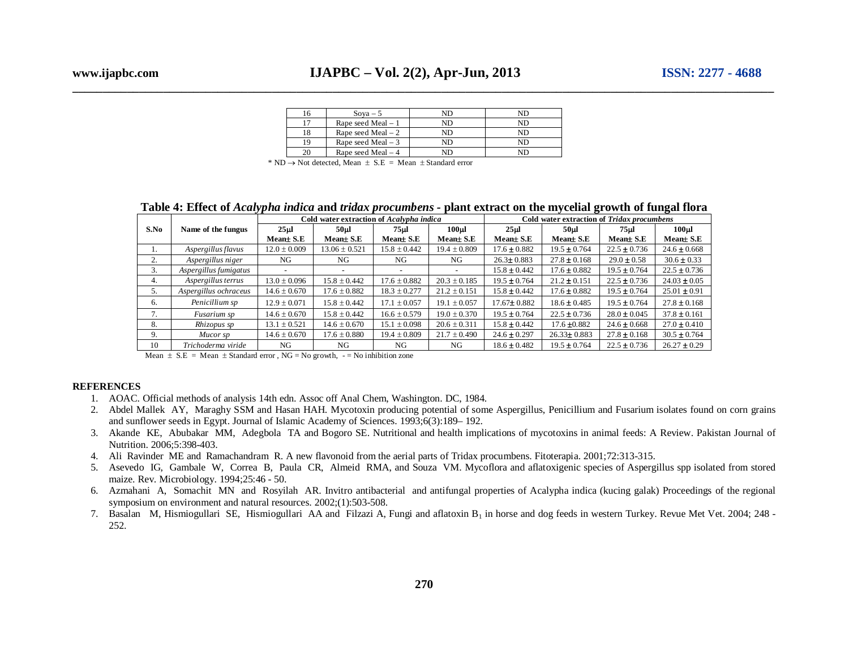|  | $Sova - 5$          |    |  |
|--|---------------------|----|--|
|  | Rape seed Meal $-1$ |    |  |
|  | Rape seed Meal $-2$ | VП |  |
|  | Rape seed Meal $-3$ |    |  |
|  | Rape seed Meal $-4$ |    |  |

 $*$  ND  $\rightarrow$  Not detected, Mean  $\pm$  S.E = Mean  $\pm$  Standard error

### **Table 4: Effect of** *Acalypha indica* **and** *tridax procumbens -* **plant extract on the mycelial growth of fungal flora**

|      |                       |                  | Cold water extraction of <i>Acalvpha indica</i> |                  |                  | Cold water extraction of <i>Tridax procumbens</i> |                   |                  |                  |  |  |
|------|-----------------------|------------------|-------------------------------------------------|------------------|------------------|---------------------------------------------------|-------------------|------------------|------------------|--|--|
| S.No | Name of the fungus    | 25ul             | 50 <sub>µ</sub>                                 | 75ul             | 100 <sub>µ</sub> | 25ul                                              | 50 <sub>ul</sub>  | 75 ul            | 100 <sub>µ</sub> |  |  |
|      |                       | Mean + S.E       | Meant S.E                                       | Mean + S.E       | Meant S.E        | Mean ± S.E                                        | Meant S.E         | Mean S.E         | Meant S.E        |  |  |
| 1.   | Aspergillus flavus    | $12.0 \pm 0.009$ | $13.06 \pm 0.521$                               | $15.8 \pm 0.442$ | $19.4 \pm 0.809$ | $17.6 \pm 0.882$                                  | $19.5 \pm 0.764$  | $22.5 \pm 0.736$ | $24.6 \pm 0.668$ |  |  |
| 2.   | Aspergillus niger     | NG               | NG                                              | NG               | NG               | $26.3 \pm 0.883$                                  | $27.8 \pm 0.168$  | $29.0 \pm 0.58$  | $30.6 \pm 0.33$  |  |  |
| 3.   | Aspergillus fumigatus |                  |                                                 |                  |                  | $15.8 \pm 0.442$                                  | $17.6 \pm 0.882$  | $19.5 \pm 0.764$ | $22.5 \pm 0.736$ |  |  |
| 4.   | Aspergillus terrus    | $13.0 \pm 0.096$ | $15.8 \pm 0.442$                                | $17.6 \pm 0.882$ | $20.3 \pm 0.185$ | $19.5 \pm 0.764$                                  | $21.2 \pm 0.151$  | $22.5 \pm 0.736$ | $24.03 \pm 0.05$ |  |  |
| 5.   | Aspergillus ochraceus | $14.6 \pm 0.670$ | $17.6 \pm 0.882$                                | $18.3 \pm 0.277$ | $21.2 \pm 0.151$ | $15.8 \pm 0.442$                                  | $17.6 \pm 0.882$  | $19.5 \pm 0.764$ | $25.01 \pm 0.91$ |  |  |
| 6.   | Penicillium sp        | $12.9 \pm 0.071$ | $15.8 \pm 0.442$                                | $17.1 \pm 0.057$ | $19.1 \pm 0.057$ | $17.67 \pm 0.882$                                 | $18.6 \pm 0.485$  | $19.5 \pm 0.764$ | $27.8 \pm 0.168$ |  |  |
| 7.   | Fusarium sp           | $14.6 \pm 0.670$ | $15.8 \pm 0.442$                                | $16.6 \pm 0.579$ | $19.0 \pm 0.370$ | $19.5 \pm 0.764$                                  | $22.5 \pm 0.736$  | $28.0 \pm 0.045$ | $37.8 \pm 0.161$ |  |  |
| 8.   | Rhizopus sp           | $13.1 \pm 0.521$ | $14.6 \pm 0.670$                                | $15.1 \pm 0.098$ | $20.6 \pm 0.311$ | $15.8 \pm 0.442$                                  | $17.6 \pm 0.882$  | $24.6 \pm 0.668$ | $27.0 \pm 0.410$ |  |  |
| 9.   | Mucor sp              | $14.6 \pm 0.670$ | $17.6 \pm 0.880$                                | $19.4 \pm 0.809$ | $21.7 \pm 0.490$ | $24.6 \pm 0.297$                                  | $26.33 \pm 0.883$ | $27.8 \pm 0.168$ | $30.5 \pm 0.764$ |  |  |
| 10   | Trichoderma viride    | NG               | NG                                              | NG.              | NG               | $18.6 \pm 0.482$                                  | $19.5 \pm 0.764$  | $22.5 \pm 0.736$ | $26.27 \pm 0.29$ |  |  |

Mean  $\pm$  S.E = Mean  $\pm$  Standard error, NG = No growth, - = No inhibition zone

#### **REFERENCES**

- 1. AOAC. Official methods of analysis 14th edn. Assoc off Anal Chem, Washington. DC, 1984.
- 2. Abdel Mallek AY, Maraghy SSM and Hasan HAH. Mycotoxin producing potential of some Aspergillus, Penicillium and Fusarium isolates found on corn grains and sunflower seeds in Egypt. Journal of Islamic Academy of Sciences. 1993;6(3):189– 192.
- 3. Akande KE, Abubakar MM, Adegbola TA and Bogoro SE. Nutritional and health implications of mycotoxins in animal feeds: A Review. Pakistan Journal of Nutrition. 2006;5:398-403.
- 4. Ali Ravinder ME and Ramachandram R. A new flavonoid from the aerial parts of Tridax procumbens. Fitoterapia. 2001;72:313-315.
- 5. Asevedo IG, Gambale W, Correa B, Paula CR, Almeid RMA, and Souza VM. Mycoflora and aflatoxigenic species of Aspergillus spp isolated from stored maize. Rev. Microbiology. 1994;25:46 - 50.
- 6. Azmahani A, Somachit MN and Rosyilah AR. Invitro antibacterial and antifungal properties of Acalypha indica (kucing galak) Proceedings of the regional symposium on environment and natural resources. 2002;(1):503-508.
- 7. Basalan M, Hismiogullari SE, Hismiogullari AA and Filzazi A, Fungi and aflatoxin B<sub>1</sub> in horse and dog feeds in western Turkey. Revue Met Vet. 2004; 248 -252.